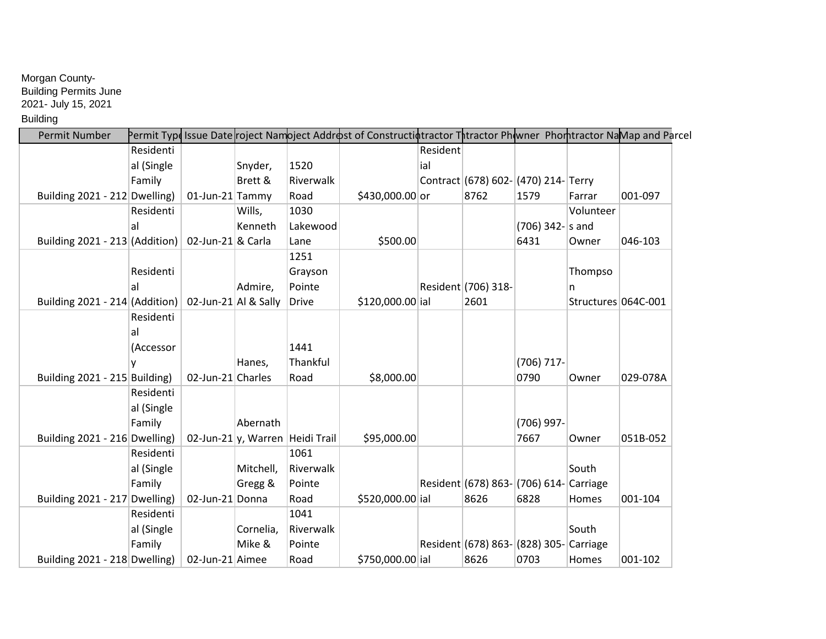#### Morgan County-Building Permits June 2021- July 15, 2021

# Building

| <b>Permit Number</b>            |            |                    |                                 |              | Permit Type Issue Date roject Namoject Addrost of Constructiotractor Thtractor Phowner Phomtractor NaMap and Parcel |          |                                         |                    |                     |          |
|---------------------------------|------------|--------------------|---------------------------------|--------------|---------------------------------------------------------------------------------------------------------------------|----------|-----------------------------------------|--------------------|---------------------|----------|
|                                 | Residenti  |                    |                                 |              |                                                                                                                     | Resident |                                         |                    |                     |          |
|                                 | al (Single |                    | Snyder,                         | 1520         |                                                                                                                     | ial      |                                         |                    |                     |          |
|                                 | Family     |                    | Brett &                         | Riverwalk    |                                                                                                                     |          | Contract (678) 602- (470) 214- Terry    |                    |                     |          |
| Building 2021 - 212 Dwelling)   |            | $01$ -Jun-21 Tammy |                                 | Road         | \$430,000.00 or                                                                                                     |          | 8762                                    | 1579               | Farrar              | 001-097  |
|                                 | Residenti  |                    | Wills,                          | 1030         |                                                                                                                     |          |                                         |                    | Volunteer           |          |
|                                 | al         |                    | Kenneth                         | Lakewood     |                                                                                                                     |          |                                         | $(706)$ 342- s and |                     |          |
| Building 2021 - 213 (Addition)  |            | 02-Jun-21 & Carla  |                                 | Lane         | \$500.00                                                                                                            |          |                                         | 6431               | Owner               | 046-103  |
|                                 |            |                    |                                 | 1251         |                                                                                                                     |          |                                         |                    |                     |          |
|                                 | Residenti  |                    |                                 | Grayson      |                                                                                                                     |          |                                         |                    | Thompso             |          |
|                                 | al         |                    | Admire,                         | Pointe       |                                                                                                                     |          | Resident (706) 318-                     |                    | n                   |          |
| Building 2021 - 214 (Addition)  |            |                    | 02-Jun-21 Al & Sally            | <b>Drive</b> | \$120,000.00 ial                                                                                                    |          | 2601                                    |                    | Structures 064C-001 |          |
|                                 | Residenti  |                    |                                 |              |                                                                                                                     |          |                                         |                    |                     |          |
|                                 | al         |                    |                                 |              |                                                                                                                     |          |                                         |                    |                     |          |
|                                 | (Accessor  |                    |                                 | 1441         |                                                                                                                     |          |                                         |                    |                     |          |
|                                 |            |                    | Hanes,                          | Thankful     |                                                                                                                     |          |                                         | (706) 717-         |                     |          |
| Building 2021 - 215 Building)   |            | 02-Jun-21 Charles  |                                 | Road         | \$8,000.00                                                                                                          |          |                                         | 0790               | Owner               | 029-078A |
|                                 | Residenti  |                    |                                 |              |                                                                                                                     |          |                                         |                    |                     |          |
|                                 | al (Single |                    |                                 |              |                                                                                                                     |          |                                         |                    |                     |          |
|                                 | Family     |                    | Abernath                        |              |                                                                                                                     |          |                                         | (706) 997-         |                     |          |
| Building 2021 - 216 Dwelling)   |            |                    | 02-Jun-21 y, Warren Heidi Trail |              | \$95,000.00                                                                                                         |          |                                         | 7667               | Owner               | 051B-052 |
|                                 | Residenti  |                    |                                 | 1061         |                                                                                                                     |          |                                         |                    |                     |          |
|                                 | al (Single |                    | Mitchell,                       | Riverwalk    |                                                                                                                     |          |                                         |                    | South               |          |
|                                 | Family     |                    | Gregg &                         | Pointe       |                                                                                                                     |          | Resident (678) 863- (706) 614- Carriage |                    |                     |          |
| Building 2021 - 217 Dwelling)   |            | 02-Jun-21 Donna    |                                 | Road         | \$520,000.00 ial                                                                                                    |          | 8626                                    | 6828               | Homes               | 001-104  |
|                                 | Residenti  |                    |                                 | 1041         |                                                                                                                     |          |                                         |                    |                     |          |
|                                 | al (Single |                    | Cornelia,                       | Riverwalk    |                                                                                                                     |          |                                         |                    | South               |          |
|                                 | Family     |                    | Mike &                          | Pointe       |                                                                                                                     |          | Resident (678) 863- (828) 305- Carriage |                    |                     |          |
| Building $2021 - 218$ Dwelling) |            | 02-Jun-21 Aimee    |                                 | Road         | \$750,000.00 ial                                                                                                    |          | 8626                                    | 0703               | Homes               | 001-102  |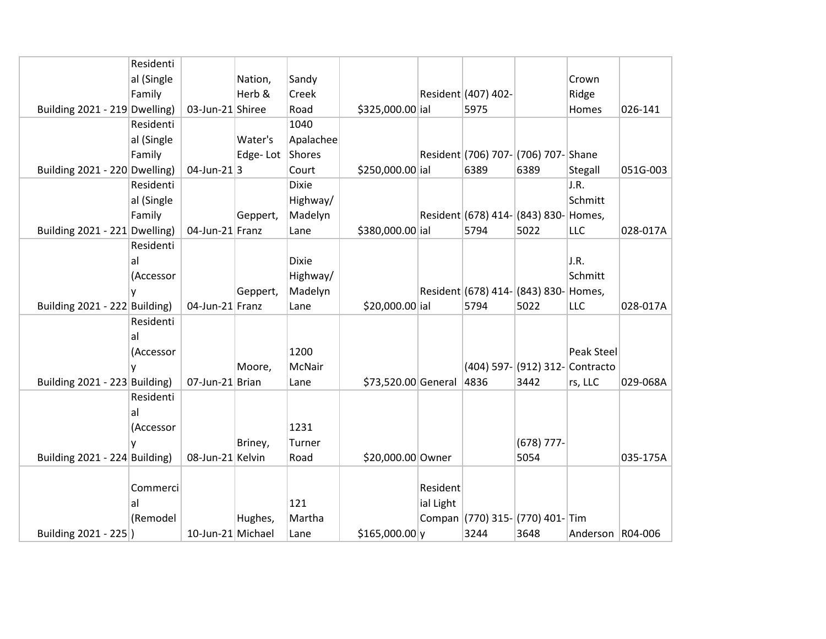|                                 | Residenti  |                   |          |              |                     |                 |                     |                                       |                  |          |
|---------------------------------|------------|-------------------|----------|--------------|---------------------|-----------------|---------------------|---------------------------------------|------------------|----------|
|                                 | al (Single |                   | Nation,  | Sandy        |                     |                 |                     |                                       | Crown            |          |
|                                 | Family     |                   | Herb &   | Creek        |                     |                 | Resident (407) 402- |                                       | Ridge            |          |
| Building 2021 - 219 Dwelling)   |            | 03-Jun-21 Shiree  |          | Road         | \$325,000.00 ial    |                 | 5975                |                                       | Homes            | 026-141  |
|                                 | Residenti  |                   |          | 1040         |                     |                 |                     |                                       |                  |          |
|                                 | al (Single |                   | Water's  | Apalachee    |                     |                 |                     |                                       |                  |          |
|                                 | Family     |                   | Edge-Lot | Shores       |                     |                 |                     | Resident (706) 707- (706) 707- Shane  |                  |          |
| Building 2021 - 220 Dwelling)   |            | 04-Jun-21 $ 3$    |          | Court        | \$250,000.00 ial    |                 | 6389                | 6389                                  | Stegall          | 051G-003 |
|                                 | Residenti  |                   |          | <b>Dixie</b> |                     |                 |                     |                                       | J.R.             |          |
|                                 | al (Single |                   |          | Highway/     |                     |                 |                     |                                       | Schmitt          |          |
|                                 | Family     |                   | Geppert, | Madelyn      |                     |                 |                     | Resident (678) 414- (843) 830- Homes, |                  |          |
| Building 2021 - 221 Dwelling)   |            | 04-Jun-21 Franz   |          | Lane         | \$380,000.00 ial    |                 | 5794                | 5022                                  | LLC              | 028-017A |
|                                 | Residenti  |                   |          |              |                     |                 |                     |                                       |                  |          |
|                                 | al         |                   |          | <b>Dixie</b> |                     |                 |                     |                                       | J.R.             |          |
|                                 | (Accessor  |                   |          | Highway/     |                     |                 |                     |                                       | Schmitt          |          |
|                                 | ٧          |                   | Geppert, | Madelyn      |                     |                 |                     | Resident (678) 414- (843) 830- Homes, |                  |          |
| Building 2021 - 222 Building)   |            | 04-Jun-21 Franz   |          | Lane         | \$20,000.00 ial     |                 | 5794                | 5022                                  | LLC              | 028-017A |
|                                 | Residenti  |                   |          |              |                     |                 |                     |                                       |                  |          |
|                                 | al         |                   |          |              |                     |                 |                     |                                       |                  |          |
|                                 | (Accessor  |                   |          | 1200         |                     |                 |                     |                                       | Peak Steel       |          |
|                                 | ٧          |                   | Moore,   | McNair       |                     |                 |                     | (404) 597- (912) 312- Contracto       |                  |          |
| Building 2021 - 223 Building)   |            | 07-Jun-21 Brian   |          | Lane         | \$73,520.00 General |                 | 4836                | 3442                                  | rs, LLC          | 029-068A |
|                                 | Residenti  |                   |          |              |                     |                 |                     |                                       |                  |          |
|                                 | al         |                   |          |              |                     |                 |                     |                                       |                  |          |
|                                 | (Accessor  |                   |          | 1231         |                     |                 |                     |                                       |                  |          |
|                                 |            |                   | Briney,  | Turner       |                     |                 |                     | (678) 777-                            |                  |          |
| Building $2021 - 224$ Building) |            | 08-Jun-21 Kelvin  |          | Road         | \$20,000.00 Owner   |                 |                     | 5054                                  |                  | 035-175A |
|                                 |            |                   |          |              |                     |                 |                     |                                       |                  |          |
|                                 | Commerci   |                   |          |              |                     | <b>Resident</b> |                     |                                       |                  |          |
|                                 | al         |                   |          | 121          |                     | ial Light       |                     |                                       |                  |          |
|                                 | (Remodel   |                   | Hughes,  | Martha       |                     |                 |                     | Compan (770) 315- (770) 401- Tim      |                  |          |
| Building 2021 - 225)            |            | 10-Jun-21 Michael |          | Lane         | \$165,000.00 y      |                 | 3244                | 3648                                  | Anderson R04-006 |          |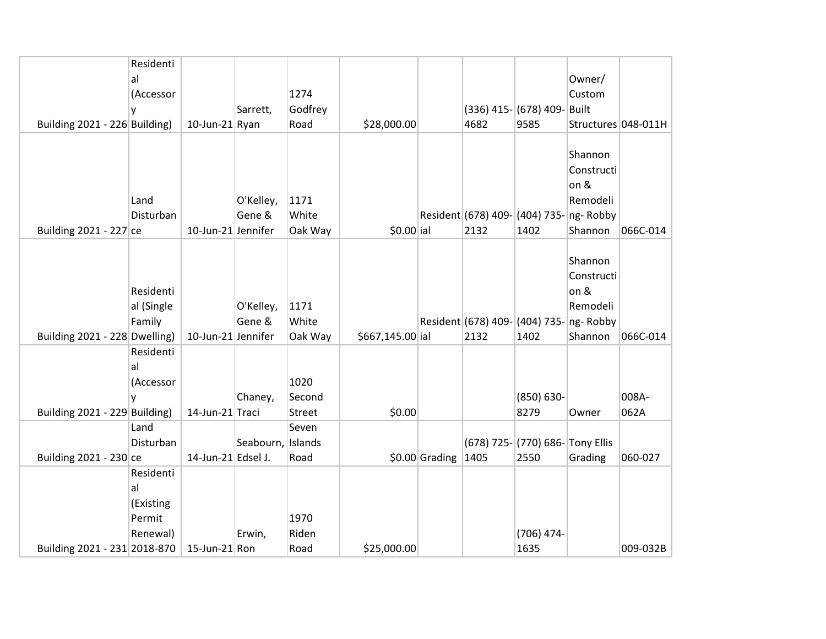|                               | Residenti  |                    |                   |         |                  |                 |                                         |                                  |                     |          |
|-------------------------------|------------|--------------------|-------------------|---------|------------------|-----------------|-----------------------------------------|----------------------------------|---------------------|----------|
|                               | al         |                    |                   |         |                  |                 |                                         |                                  | Owner/              |          |
|                               | (Accessor  |                    |                   | 1274    |                  |                 |                                         |                                  | Custom              |          |
|                               | у          |                    | Sarrett,          | Godfrey |                  |                 |                                         | (336) 415- (678) 409- Built      |                     |          |
| Building 2021 - 226 Building) |            | $10$ -Jun-21 Ryan  |                   | Road    | \$28,000.00      |                 | 4682                                    | 9585                             | Structures 048-011H |          |
|                               |            |                    |                   |         |                  |                 |                                         |                                  |                     |          |
|                               |            |                    |                   |         |                  |                 |                                         |                                  | Shannon             |          |
|                               |            |                    |                   |         |                  |                 |                                         |                                  | Constructi          |          |
|                               |            |                    |                   |         |                  |                 |                                         |                                  | on &                |          |
|                               | Land       |                    | O'Kelley,         | 1171    |                  |                 |                                         |                                  | Remodeli            |          |
|                               | Disturban  |                    | Gene &            | White   |                  |                 | Resident (678) 409- (404) 735- ng-Robby |                                  |                     |          |
| Building 2021 - 227 ce        |            | 10-Jun-21 Jennifer |                   | Oak Way | $$0.00$ ial      |                 | 2132                                    | 1402                             | Shannon             | 066C-014 |
|                               |            |                    |                   |         |                  |                 |                                         |                                  |                     |          |
|                               |            |                    |                   |         |                  |                 |                                         |                                  | Shannon             |          |
|                               |            |                    |                   |         |                  |                 |                                         |                                  | Constructi          |          |
|                               | Residenti  |                    |                   |         |                  |                 |                                         |                                  | on &                |          |
|                               | al (Single |                    | O'Kelley,         | 1171    |                  |                 |                                         |                                  | Remodeli            |          |
|                               | Family     |                    | Gene &            | White   |                  |                 | Resident (678) 409- (404) 735- ng-Robby |                                  |                     |          |
| Building 2021 - 228 Dwelling) |            | 10-Jun-21 Jennifer |                   | Oak Way | \$667,145.00 ial |                 | 2132                                    | 1402                             | Shannon             | 066C-014 |
|                               | Residenti  |                    |                   |         |                  |                 |                                         |                                  |                     |          |
|                               | al         |                    |                   |         |                  |                 |                                         |                                  |                     |          |
|                               | (Accessor  |                    |                   | 1020    |                  |                 |                                         |                                  |                     |          |
|                               | ٧          |                    | Chaney,           | Second  |                  |                 |                                         | (850) 630-                       |                     | 008A-    |
| Building 2021 - 229 Building) |            | 14-Jun-21 Traci    |                   | Street  | \$0.00           |                 |                                         | 8279                             | Owner               | 062A     |
|                               | Land       |                    |                   | Seven   |                  |                 |                                         |                                  |                     |          |
|                               | Disturban  |                    | Seabourn, Islands |         |                  |                 |                                         | (678) 725- (770) 686- Tony Ellis |                     |          |
| Building 2021 - 230 ce        |            | 14-Jun-21 Edsel J. |                   | Road    |                  | $$0.00$ Grading | 1405                                    | 2550                             | Grading             | 060-027  |
|                               | Residenti  |                    |                   |         |                  |                 |                                         |                                  |                     |          |
|                               | al         |                    |                   |         |                  |                 |                                         |                                  |                     |          |
|                               | (Existing  |                    |                   |         |                  |                 |                                         |                                  |                     |          |
|                               | Permit     |                    |                   | 1970    |                  |                 |                                         |                                  |                     |          |
|                               | Renewal)   |                    | Erwin,            | Riden   |                  |                 |                                         | (706) 474-                       |                     |          |
| Building 2021 - 231 2018-870  |            | $15$ -Jun-21 Ron   |                   | Road    | \$25,000.00      |                 |                                         | 1635                             |                     | 009-032B |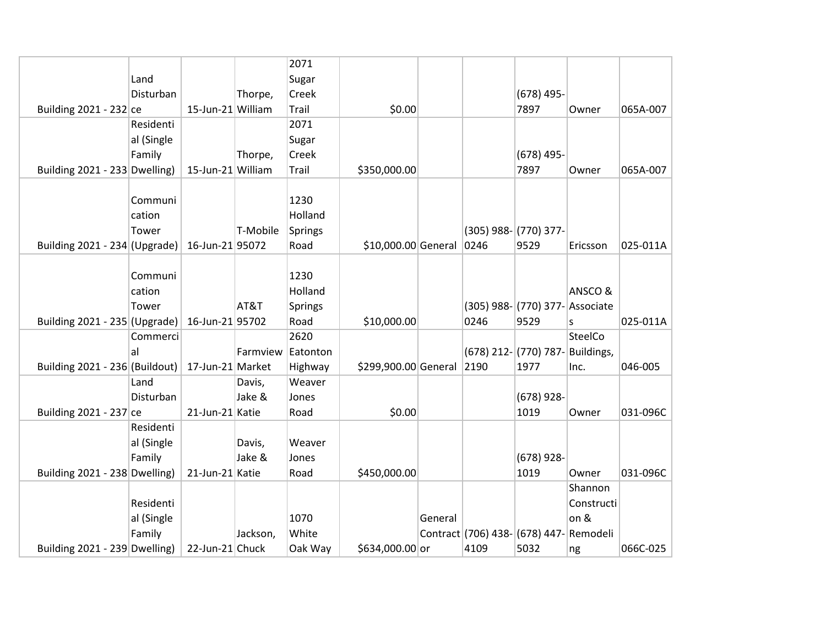|                                 |            |                   |          | 2071     |                      |         |                                         |                                 |            |          |
|---------------------------------|------------|-------------------|----------|----------|----------------------|---------|-----------------------------------------|---------------------------------|------------|----------|
|                                 | Land       |                   |          | Sugar    |                      |         |                                         |                                 |            |          |
|                                 | Disturban  |                   | Thorpe,  | Creek    |                      |         |                                         | $(678)$ 495-                    |            |          |
| Building 2021 - 232 ce          |            | 15-Jun-21 William |          | Trail    | \$0.00               |         |                                         | 7897                            | Owner      | 065A-007 |
|                                 | Residenti  |                   |          | 2071     |                      |         |                                         |                                 |            |          |
|                                 | al (Single |                   |          | Sugar    |                      |         |                                         |                                 |            |          |
|                                 | Family     |                   | Thorpe,  | Creek    |                      |         |                                         | $(678)$ 495-                    |            |          |
| Building 2021 - 233 Dwelling)   |            | 15-Jun-21 William |          | Trail    | \$350,000.00         |         |                                         | 7897                            | Owner      | 065A-007 |
|                                 |            |                   |          |          |                      |         |                                         |                                 |            |          |
|                                 | Communi    |                   |          | 1230     |                      |         |                                         |                                 |            |          |
|                                 | cation     |                   |          | Holland  |                      |         |                                         |                                 |            |          |
|                                 | Tower      |                   | T-Mobile | Springs  |                      |         |                                         | $(305)$ 988- $(770)$ 377-       |            |          |
| Building 2021 - 234 (Upgrade)   |            | 16-Jun-21 95072   |          | Road     | \$10,000.00 General  |         | 0246                                    | 9529                            | Ericsson   | 025-011A |
|                                 |            |                   |          |          |                      |         |                                         |                                 |            |          |
|                                 | Communi    |                   |          | 1230     |                      |         |                                         |                                 |            |          |
|                                 | cation     |                   |          | Holland  |                      |         |                                         |                                 | ANSCO&     |          |
|                                 | Tower      |                   | AT&T     | Springs  |                      |         |                                         | (305) 988- (770) 377- Associate |            |          |
| Building $2021 - 235$ (Upgrade) |            | 16-Jun-21 95702   |          | Road     | \$10,000.00          |         | 0246                                    | 9529                            | S          | 025-011A |
|                                 | Commerci   |                   |          | 2620     |                      |         |                                         |                                 | SteelCo    |          |
|                                 | al         |                   | Farmview | Eatonton |                      |         |                                         | (678) 212- (770) 787-           | Buildings, |          |
| Building 2021 - 236 (Buildout)  |            | 17-Jun-21 Market  |          | Highway  | \$299,900.00 General |         | 2190                                    | 1977                            | Inc.       | 046-005  |
|                                 | Land       |                   | Davis,   | Weaver   |                      |         |                                         |                                 |            |          |
|                                 | Disturban  |                   | Jake &   | Jones    |                      |         |                                         | $(678)$ 928-                    |            |          |
| Building 2021 - 237 ce          |            | 21-Jun-21 Katie   |          | Road     | \$0.00               |         |                                         | 1019                            | Owner      | 031-096C |
|                                 | Residenti  |                   |          |          |                      |         |                                         |                                 |            |          |
|                                 | al (Single |                   | Davis,   | Weaver   |                      |         |                                         |                                 |            |          |
|                                 | Family     |                   | Jake &   | Jones    |                      |         |                                         | $(678)$ 928-                    |            |          |
| Building 2021 - 238 Dwelling)   |            | 21-Jun-21 Katie   |          | Road     | \$450,000.00         |         |                                         | 1019                            | Owner      | 031-096C |
|                                 |            |                   |          |          |                      |         |                                         |                                 | Shannon    |          |
|                                 | Residenti  |                   |          |          |                      |         |                                         |                                 | Constructi |          |
|                                 | al (Single |                   |          | 1070     |                      | General |                                         |                                 | on &       |          |
|                                 | Family     |                   | Jackson, | White    |                      |         | Contract (706) 438- (678) 447- Remodeli |                                 |            |          |
| Building 2021 - 239 Dwelling)   |            | 22-Jun-21 Chuck   |          | Oak Way  | \$634,000.00 or      |         | 4109                                    | 5032                            | ng         | 066C-025 |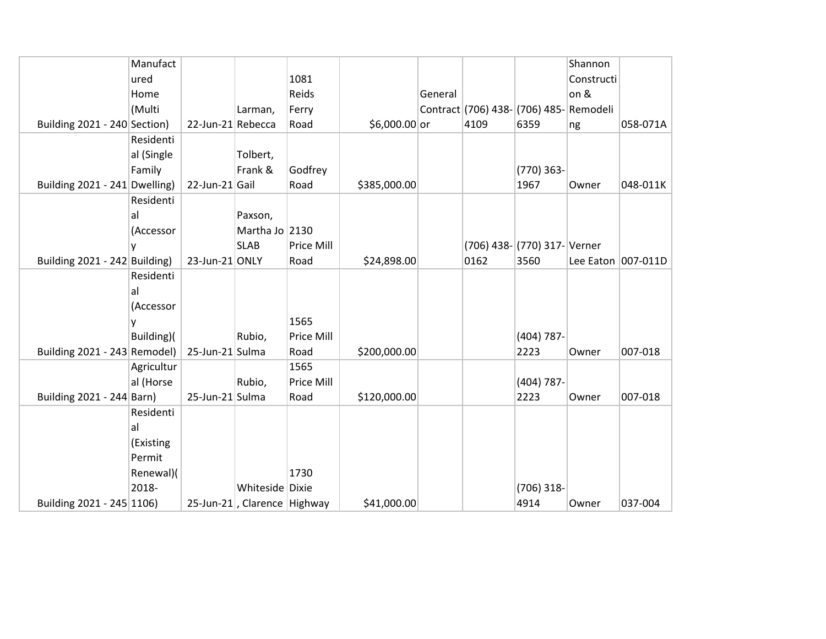|                               | Manufact   |                   |                             |            |               |         |      |                                         | Shannon              |          |
|-------------------------------|------------|-------------------|-----------------------------|------------|---------------|---------|------|-----------------------------------------|----------------------|----------|
|                               | ured       |                   |                             | 1081       |               |         |      |                                         | Constructi           |          |
|                               | Home       |                   |                             | Reids      |               | General |      |                                         | on &                 |          |
|                               | (Multi     |                   | Larman,                     | Ferry      |               |         |      | Contract (706) 438- (706) 485- Remodeli |                      |          |
| Building 2021 - 240 Section)  |            | 22-Jun-21 Rebecca |                             | Road       | \$6,000.00 or |         | 4109 | 6359                                    | ng                   | 058-071A |
|                               | Residenti  |                   |                             |            |               |         |      |                                         |                      |          |
|                               | al (Single |                   | Tolbert,                    |            |               |         |      |                                         |                      |          |
|                               | Family     |                   | Frank &                     | Godfrey    |               |         |      | $(770)$ 363-                            |                      |          |
| Building 2021 - 241 Dwelling) |            | $22$ -Jun-21 Gail |                             | Road       | \$385,000.00  |         |      | 1967                                    | Owner                | 048-011K |
|                               | Residenti  |                   |                             |            |               |         |      |                                         |                      |          |
|                               | al         |                   | Paxson,                     |            |               |         |      |                                         |                      |          |
|                               | (Accessor  |                   | Martha Jo 2130              |            |               |         |      |                                         |                      |          |
|                               |            |                   | <b>SLAB</b>                 | Price Mill |               |         |      | (706) 438- (770) 317- Verner            |                      |          |
| Building 2021 - 242 Building) |            | 23-Jun-21 ONLY    |                             | Road       | \$24,898.00   |         | 0162 | 3560                                    | Lee Eaton   007-011D |          |
|                               | Residenti  |                   |                             |            |               |         |      |                                         |                      |          |
|                               | al         |                   |                             |            |               |         |      |                                         |                      |          |
|                               | (Accessor  |                   |                             |            |               |         |      |                                         |                      |          |
|                               |            |                   |                             | 1565       |               |         |      |                                         |                      |          |
|                               | Building)( |                   | Rubio,                      | Price Mill |               |         |      | (404) 787-                              |                      |          |
| Building 2021 - 243 Remodel)  |            | 25-Jun-21 Sulma   |                             | Road       | \$200,000.00  |         |      | 2223                                    | Owner                | 007-018  |
|                               | Agricultur |                   |                             | 1565       |               |         |      |                                         |                      |          |
|                               | al (Horse  |                   | Rubio,                      | Price Mill |               |         |      | (404) 787-                              |                      |          |
| Building 2021 - 244 Barn)     |            | 25-Jun-21 Sulma   |                             | Road       | \$120,000.00  |         |      | 2223                                    | Owner                | 007-018  |
|                               | Residenti  |                   |                             |            |               |         |      |                                         |                      |          |
|                               | al         |                   |                             |            |               |         |      |                                         |                      |          |
|                               | (Existing  |                   |                             |            |               |         |      |                                         |                      |          |
|                               | Permit     |                   |                             |            |               |         |      |                                         |                      |          |
|                               | Renewal)(  |                   |                             | 1730       |               |         |      |                                         |                      |          |
|                               | 2018-      |                   | Whiteside Dixie             |            |               |         |      | $(706)$ 318-                            |                      |          |
| Building 2021 - 245 1106)     |            |                   | 25-Jun-21, Clarence Highway |            | \$41,000.00   |         |      | 4914                                    | Owner                | 037-004  |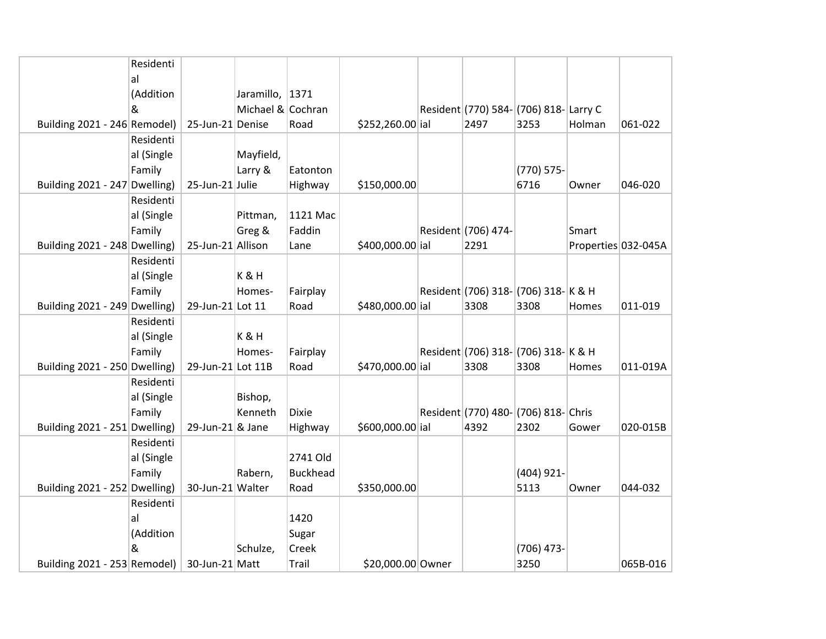|                               | Residenti  |                   |                   |                 |                   |                     |                                        |                     |          |
|-------------------------------|------------|-------------------|-------------------|-----------------|-------------------|---------------------|----------------------------------------|---------------------|----------|
|                               | al         |                   |                   |                 |                   |                     |                                        |                     |          |
|                               | (Addition  |                   | Jaramillo, 1371   |                 |                   |                     |                                        |                     |          |
|                               | &          |                   | Michael & Cochran |                 |                   |                     | Resident (770) 584- (706) 818- Larry C |                     |          |
| Building 2021 - 246 Remodel)  |            | 25-Jun-21 Denise  |                   | Road            | \$252,260.00 ial  | 2497                | 3253                                   | Holman              | 061-022  |
|                               | Residenti  |                   |                   |                 |                   |                     |                                        |                     |          |
|                               | al (Single |                   | Mayfield,         |                 |                   |                     |                                        |                     |          |
|                               | Family     |                   | Larry &           | Eatonton        |                   |                     | (770) 575-                             |                     |          |
| Building 2021 - 247 Dwelling) |            | 25-Jun-21 Julie   |                   | Highway         | \$150,000.00      |                     | 6716                                   | Owner               | 046-020  |
|                               | Residenti  |                   |                   |                 |                   |                     |                                        |                     |          |
|                               | al (Single |                   | Pittman,          | 1121 Mac        |                   |                     |                                        |                     |          |
|                               | Family     |                   | Greg &            | Faddin          |                   | Resident (706) 474- |                                        | Smart               |          |
| Building 2021 - 248 Dwelling) |            | 25-Jun-21 Allison |                   | Lane            | \$400,000.00 ial  | 2291                |                                        | Properties 032-045A |          |
|                               | Residenti  |                   |                   |                 |                   |                     |                                        |                     |          |
|                               | al (Single |                   | K&H               |                 |                   |                     |                                        |                     |          |
|                               | Family     |                   | Homes-            | Fairplay        |                   |                     | Resident (706) 318- (706) 318- K & H   |                     |          |
| Building 2021 - 249 Dwelling) |            | 29-Jun-21 Lot 11  |                   | Road            | \$480,000.00 ial  | 3308                | 3308                                   | Homes               | 011-019  |
|                               | Residenti  |                   |                   |                 |                   |                     |                                        |                     |          |
|                               | al (Single |                   | K&H               |                 |                   |                     |                                        |                     |          |
|                               | Family     |                   | Homes-            | Fairplay        |                   |                     | Resident (706) 318- (706) 318- K & H   |                     |          |
| Building 2021 - 250 Dwelling) |            | 29-Jun-21 Lot 11B |                   | Road            | \$470,000.00 ial  | 3308                | 3308                                   | Homes               | 011-019A |
|                               | Residenti  |                   |                   |                 |                   |                     |                                        |                     |          |
|                               | al (Single |                   | Bishop,           |                 |                   |                     |                                        |                     |          |
|                               | Family     |                   | Kenneth           | <b>Dixie</b>    |                   |                     | Resident (770) 480- (706) 818- Chris   |                     |          |
| Building 2021 - 251 Dwelling) |            | 29-Jun-21 & Jane  |                   | Highway         | \$600,000.00 ial  | 4392                | 2302                                   | Gower               | 020-015B |
|                               | Residenti  |                   |                   |                 |                   |                     |                                        |                     |          |
|                               | al (Single |                   |                   | 2741 Old        |                   |                     |                                        |                     |          |
|                               | Family     |                   | Rabern,           | <b>Buckhead</b> |                   |                     | (404) 921-                             |                     |          |
| Building 2021 - 252 Dwelling) |            | 30-Jun-21 Walter  |                   | Road            | \$350,000.00      |                     | 5113                                   | Owner               | 044-032  |
|                               | Residenti  |                   |                   |                 |                   |                     |                                        |                     |          |
|                               | al         |                   |                   | 1420            |                   |                     |                                        |                     |          |
|                               | (Addition  |                   |                   | Sugar           |                   |                     |                                        |                     |          |
|                               | &          |                   | Schulze,          | Creek           |                   |                     | (706) 473-                             |                     |          |
| Building 2021 - 253 Remodel)  |            | 30-Jun-21 Matt    |                   | Trail           | \$20,000.00 Owner |                     | 3250                                   |                     | 065B-016 |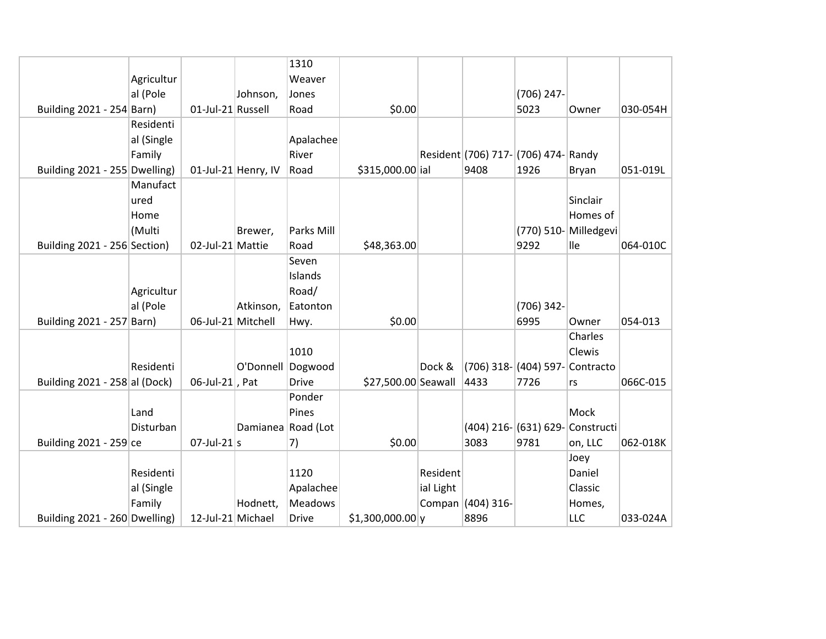|                               |            |                    |                     | 1310           |                     |           |                   |                                      |                       |          |
|-------------------------------|------------|--------------------|---------------------|----------------|---------------------|-----------|-------------------|--------------------------------------|-----------------------|----------|
|                               | Agricultur |                    |                     | Weaver         |                     |           |                   |                                      |                       |          |
|                               | al (Pole   |                    | Johnson,            | Jones          |                     |           |                   | $(706)$ 247-                         |                       |          |
| Building 2021 - 254 Barn)     |            | 01-Jul-21 Russell  |                     | Road           | \$0.00              |           |                   | 5023                                 | Owner                 | 030-054H |
|                               | Residenti  |                    |                     |                |                     |           |                   |                                      |                       |          |
|                               | al (Single |                    |                     | Apalachee      |                     |           |                   |                                      |                       |          |
|                               | Family     |                    |                     | River          |                     |           |                   | Resident (706) 717- (706) 474- Randy |                       |          |
| Building 2021 - 255 Dwelling) |            |                    | 01-Jul-21 Henry, IV | Road           | \$315,000.00 ial    |           | 9408              | 1926                                 | Bryan                 | 051-019L |
|                               | Manufact   |                    |                     |                |                     |           |                   |                                      |                       |          |
|                               | ured       |                    |                     |                |                     |           |                   |                                      | Sinclair              |          |
|                               | Home       |                    |                     |                |                     |           |                   |                                      | Homes of              |          |
|                               | (Multi     |                    | Brewer,             | Parks Mill     |                     |           |                   |                                      | (770) 510- Milledgevi |          |
| Building 2021 - 256 Section)  |            | 02-Jul-21 Mattie   |                     | Road           | \$48,363.00         |           |                   | 9292                                 | <b>lle</b>            | 064-010C |
|                               |            |                    |                     | Seven          |                     |           |                   |                                      |                       |          |
|                               |            |                    |                     | Islands        |                     |           |                   |                                      |                       |          |
|                               | Agricultur |                    |                     | Road/          |                     |           |                   |                                      |                       |          |
|                               | al (Pole   |                    | Atkinson,           | Eatonton       |                     |           |                   | $(706)$ 342-                         |                       |          |
| Building 2021 - 257 Barn)     |            | 06-Jul-21 Mitchell |                     | Hwy.           | \$0.00              |           |                   | 6995                                 | Owner                 | 054-013  |
|                               |            |                    |                     |                |                     |           |                   |                                      | Charles               |          |
|                               |            |                    |                     | 1010           |                     |           |                   |                                      | Clewis                |          |
|                               | Residenti  |                    | O'Donnell Dogwood   |                |                     | Dock &    |                   | $(706)$ 318- $(404)$ 597-            | Contracto             |          |
| Building 2021 - 258 al (Dock) |            | 06-Jul-21, Pat     |                     | <b>Drive</b>   | \$27,500.00 Seawall |           | 4433              | 7726                                 | rs                    | 066C-015 |
|                               |            |                    |                     | Ponder         |                     |           |                   |                                      |                       |          |
|                               | Land       |                    |                     | Pines          |                     |           |                   |                                      | Mock                  |          |
|                               | Disturban  |                    | Damianea Road (Lot  |                |                     |           |                   | $(404)$ 216- $(631)$ 629-            | Constructi            |          |
| Building $2021 - 259$ ce      |            | $07$ -Jul-21 $ s $ |                     | 7)             | \$0.00              |           | 3083              | 9781                                 | on, LLC               | 062-018K |
|                               |            |                    |                     |                |                     |           |                   |                                      | Joey                  |          |
|                               | Residenti  |                    |                     | 1120           |                     | Resident  |                   |                                      | Daniel                |          |
|                               | al (Single |                    |                     | Apalachee      |                     | ial Light |                   |                                      | Classic               |          |
|                               | Family     |                    | Hodnett,            | <b>Meadows</b> |                     |           | Compan (404) 316- |                                      | Homes,                |          |
| Building 2021 - 260 Dwelling) |            | 12-Jul-21 Michael  |                     | Drive          | \$1,300,000.00 y    |           | 8896              |                                      | <b>LLC</b>            | 033-024A |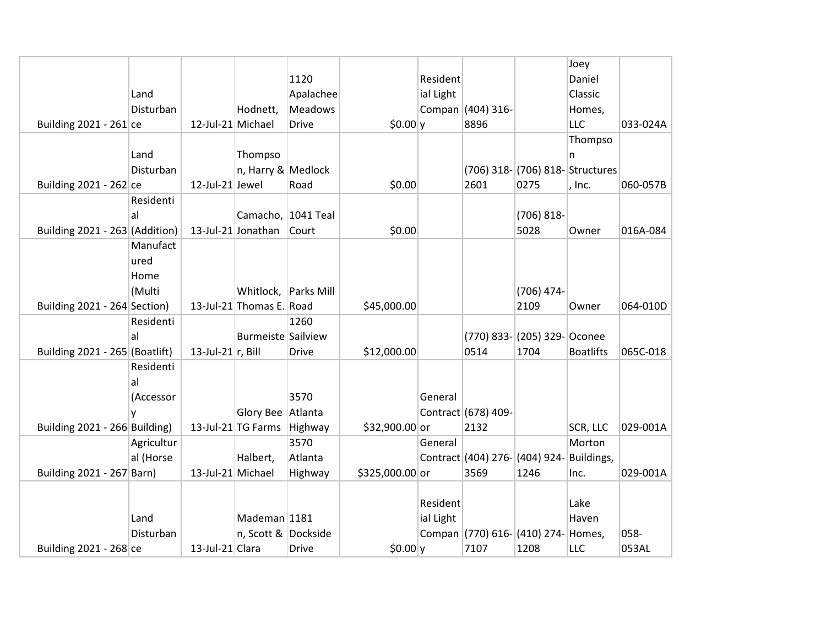|                                  |            |                       |                          |              |                 |           |                                |                                     | Joey                             |          |
|----------------------------------|------------|-----------------------|--------------------------|--------------|-----------------|-----------|--------------------------------|-------------------------------------|----------------------------------|----------|
|                                  |            |                       |                          | 1120         |                 | Resident  |                                |                                     | Daniel                           |          |
|                                  | Land       |                       |                          | Apalachee    |                 | ial Light |                                |                                     | Classic                          |          |
|                                  | Disturban  |                       | Hodnett,                 | Meadows      |                 |           | Compan (404) 316-              |                                     | Homes,                           |          |
| Building $2021 - 261$ ce         |            | 12-Jul-21 Michael     |                          | <b>Drive</b> | \$0.00 v        |           | 8896                           |                                     | <b>LLC</b>                       | 033-024A |
|                                  |            |                       |                          |              |                 |           |                                |                                     | Thompso                          |          |
|                                  | Land       |                       | Thompso                  |              |                 |           |                                |                                     | n.                               |          |
|                                  | Disturban  |                       | n, Harry & Medlock       |              |                 |           |                                |                                     | (706) 318- (706) 818- Structures |          |
| Building $2021 - 262$ ce         |            | 12-Jul-21 Jewel       |                          | Road         | \$0.00          |           | 2601                           | 0275                                | , $Inc.$                         | 060-057B |
|                                  | Residenti  |                       |                          |              |                 |           |                                |                                     |                                  |          |
|                                  | al         |                       | Camacho, 1041 Teal       |              |                 |           |                                | $(706) 818 -$                       |                                  |          |
| Building $2021 - 263$ (Addition) |            |                       | 13-Jul-21 Jonathan       | Court        | \$0.00          |           |                                | 5028                                | Owner                            | 016A-084 |
|                                  | Manufact   |                       |                          |              |                 |           |                                |                                     |                                  |          |
|                                  | ured       |                       |                          |              |                 |           |                                |                                     |                                  |          |
|                                  | Home       |                       |                          |              |                 |           |                                |                                     |                                  |          |
|                                  | (Multi     |                       | Whitlock,                | Parks Mill   |                 |           |                                | (706) 474-                          |                                  |          |
| Building 2021 - 264 Section)     |            |                       | 13-Jul-21 Thomas E. Road |              | \$45,000.00     |           |                                | 2109                                | Owner                            | 064-010D |
|                                  | Residenti  |                       |                          | 1260         |                 |           |                                |                                     |                                  |          |
|                                  | al         |                       | Burmeiste Sailview       |              |                 |           |                                | (770) 833- (205) 329- Oconee        |                                  |          |
| Building 2021 - 265 (Boatlift)   |            | 13-Jul-21 $ r$ , Bill |                          | <b>Drive</b> | \$12,000.00     |           | 0514                           | 1704                                | <b>Boatlifts</b>                 | 065C-018 |
|                                  | Residenti  |                       |                          |              |                 |           |                                |                                     |                                  |          |
|                                  | al         |                       |                          |              |                 |           |                                |                                     |                                  |          |
|                                  | (Accessor  |                       |                          | 3570         |                 | General   |                                |                                     |                                  |          |
|                                  |            |                       | Glory Bee Atlanta        |              |                 |           | Contract (678) 409-            |                                     |                                  |          |
| Building 2021 - 266 Building)    |            |                       | 13-Jul-21 TG Farms       | Highway      | \$32,900.00 or  |           | 2132                           |                                     | SCR, LLC                         | 029-001A |
|                                  | Agricultur |                       |                          | 3570         |                 | General   |                                |                                     | Morton                           |          |
|                                  | al (Horse  |                       | Halbert,                 | Atlanta      |                 |           | Contract (404) 276- (404) 924- |                                     | Buildings,                       |          |
| Building 2021 - 267 Barn)        |            | 13-Jul-21 Michael     |                          | Highway      | \$325,000.00 or |           | 3569                           | 1246                                | Inc.                             | 029-001A |
|                                  |            |                       |                          |              |                 |           |                                |                                     |                                  |          |
|                                  |            |                       |                          |              |                 | Resident  |                                |                                     | Lake                             |          |
|                                  | Land       |                       | Mademan 1181             |              |                 | ial Light |                                |                                     | Haven                            |          |
|                                  | Disturban  |                       | n, Scott & Dockside      |              |                 |           |                                | Compan (770) 616- (410) 274- Homes, |                                  | 058-     |
| Building 2021 - 268 ce           |            | 13-Jul-21 Clara       |                          | <b>Drive</b> | \$0.00 y        |           | 7107                           | 1208                                | LLC                              | 053AL    |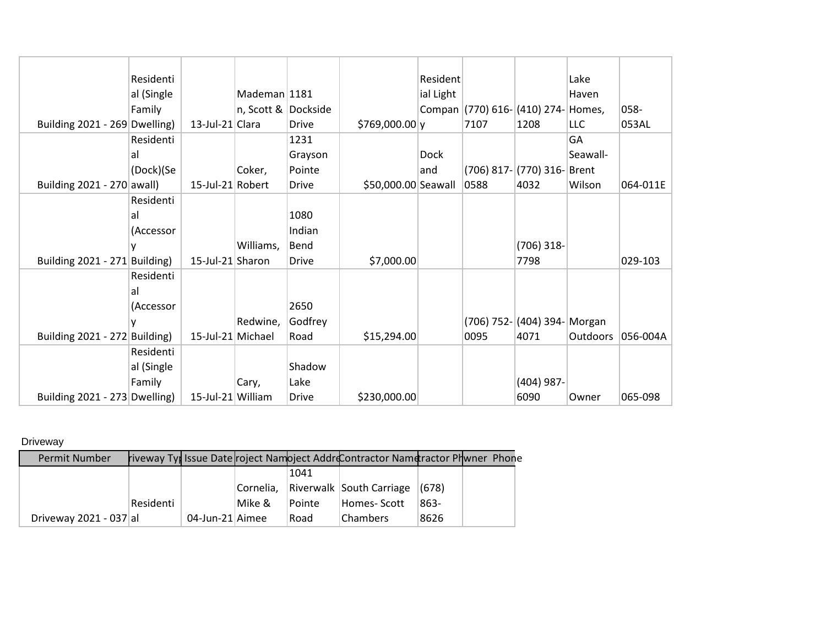|                                 | Residenti  |                   |                     |              |                     | Resident    |                                     |                              | Lake     |          |
|---------------------------------|------------|-------------------|---------------------|--------------|---------------------|-------------|-------------------------------------|------------------------------|----------|----------|
|                                 | al (Single |                   | Mademan 1181        |              |                     | ial Light   |                                     |                              | Haven    |          |
|                                 | Family     |                   | n, Scott & Dockside |              |                     |             | Compan (770) 616- (410) 274- Homes, |                              |          | 058-     |
| Building 2021 - 269 Dwelling)   |            | 13-Jul-21 Clara   |                     | <b>Drive</b> | \$769,000.00 y      |             | 7107                                | 1208                         | LLC      | 053AL    |
|                                 | Residenti  |                   |                     | 1231         |                     |             |                                     |                              | GA       |          |
|                                 | al         |                   |                     | Grayson      |                     | <b>Dock</b> |                                     |                              | Seawall- |          |
|                                 | (Dock)(Se  |                   | Coker,              | Pointe       |                     | and         |                                     | (706) 817-(770) 316-Brent    |          |          |
| Building $2021 - 270$ awall)    |            | 15-Jul-21 Robert  |                     | <b>Drive</b> | \$50,000.00 Seawall |             | 0588                                | 4032                         | Wilson   | 064-011E |
|                                 | Residenti  |                   |                     |              |                     |             |                                     |                              |          |          |
|                                 | al         |                   |                     | 1080         |                     |             |                                     |                              |          |          |
|                                 | (Accessor  |                   |                     | Indian       |                     |             |                                     |                              |          |          |
|                                 | ٧          |                   | Williams,           | <b>Bend</b>  |                     |             |                                     | $(706)$ 318-                 |          |          |
| Building 2021 - 271 Building)   |            | 15-Jul-21 Sharon  |                     | <b>Drive</b> | \$7,000.00          |             |                                     | 7798                         |          | 029-103  |
|                                 | Residenti  |                   |                     |              |                     |             |                                     |                              |          |          |
|                                 | al         |                   |                     |              |                     |             |                                     |                              |          |          |
|                                 | (Accessor  |                   |                     | 2650         |                     |             |                                     |                              |          |          |
|                                 |            |                   | Redwine,            | Godfrey      |                     |             |                                     | (706) 752- (404) 394- Morgan |          |          |
| Building $2021 - 272$ Building) |            | 15-Jul-21 Michael |                     | Road         | \$15,294.00         |             | 0095                                | 4071                         | Outdoors | 056-004A |
|                                 | Residenti  |                   |                     |              |                     |             |                                     |                              |          |          |
|                                 | al (Single |                   |                     | Shadow       |                     |             |                                     |                              |          |          |
|                                 | Family     |                   | Cary,               | Lake         |                     |             |                                     | $(404)$ 987-                 |          |          |
| Building 2021 - 273 Dwelling)   |            | 15-Jul-21 William |                     | Drive        | \$230,000.00        |             |                                     | 6090                         | Owner    | 065-098  |

## Driveway

| Permit Number          |           |                 |           |        | riveway Tyr Issue Date roject Namoject AddreContractor Nametractor Phymer Phone |       |  |
|------------------------|-----------|-----------------|-----------|--------|---------------------------------------------------------------------------------|-------|--|
|                        |           |                 |           | 1041   |                                                                                 |       |  |
|                        |           |                 | Cornelia. |        | Riverwalk South Carriage                                                        | (678) |  |
|                        | Residenti |                 | Mike &    | Pointe | Homes- Scott                                                                    | 863-  |  |
| Driveway 2021 - 037 al |           | 04-Jun-21 Aimee |           | Road   | <b>Chambers</b>                                                                 | 8626  |  |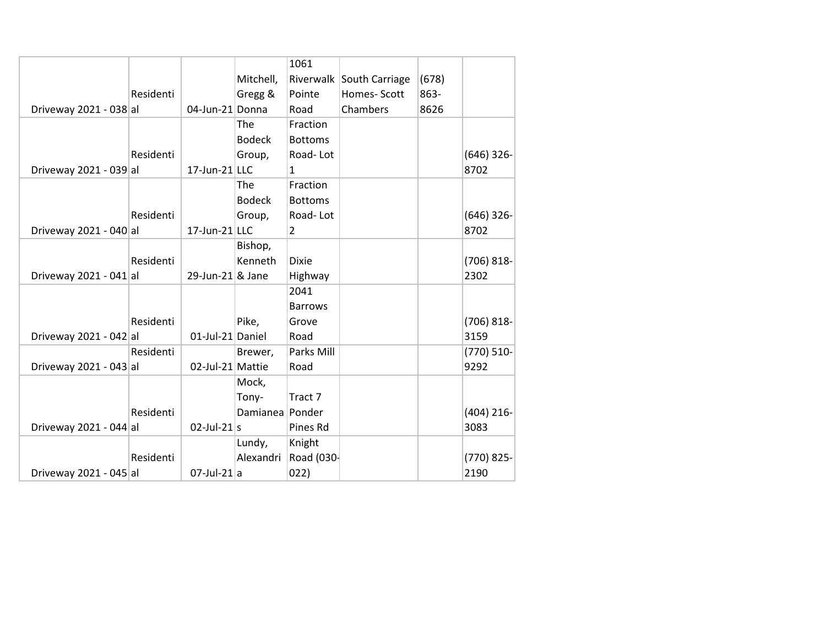|                        |           |                     |                 | 1061           |                          |       |               |
|------------------------|-----------|---------------------|-----------------|----------------|--------------------------|-------|---------------|
|                        |           |                     | Mitchell,       |                | Riverwalk South Carriage | (678) |               |
|                        | Residenti |                     | Gregg &         | Pointe         | Homes-Scott              | 863-  |               |
| Driveway 2021 - 038 al |           | 04-Jun-21 Donna     |                 | Road           | Chambers                 | 8626  |               |
|                        |           |                     | The             | Fraction       |                          |       |               |
|                        |           |                     | <b>Bodeck</b>   | <b>Bottoms</b> |                          |       |               |
|                        | Residenti |                     | Group,          | Road-Lot       |                          |       | $(646)$ 326-  |
| Driveway 2021 - 039 al |           | $17$ -Jun-21 LLC    |                 | $\mathbf{1}$   |                          |       | 8702          |
|                        |           |                     | <b>The</b>      | Fraction       |                          |       |               |
|                        |           |                     | <b>Bodeck</b>   | <b>Bottoms</b> |                          |       |               |
|                        | Residenti |                     | Group,          | Road-Lot       |                          |       | $(646)$ 326-  |
| Driveway 2021 - 040 al |           | $17$ -Jun-21 LLC    |                 | $\overline{2}$ |                          |       | 8702          |
|                        |           |                     | Bishop,         |                |                          |       |               |
|                        | Residenti |                     | Kenneth         | <b>Dixie</b>   |                          |       | $(706) 818 -$ |
| Driveway 2021 - 041 al |           | 29-Jun-21 $ &$ Jane |                 | Highway        |                          |       | 2302          |
|                        |           |                     |                 | 2041           |                          |       |               |
|                        |           |                     |                 | <b>Barrows</b> |                          |       |               |
|                        | Residenti |                     | Pike,           | Grove          |                          |       | $(706) 818 -$ |
| Driveway 2021 - 042 al |           | 01-Jul-21 Daniel    |                 | Road           |                          |       | 3159          |
|                        | Residenti |                     | Brewer,         | Parks Mill     |                          |       | $(770) 510 -$ |
| Driveway 2021 - 043 al |           | 02-Jul-21 Mattie    |                 | Road           |                          |       | 9292          |
|                        |           |                     | Mock,           |                |                          |       |               |
|                        |           |                     | Tony-           | Tract 7        |                          |       |               |
|                        | Residenti |                     | Damianea Ponder |                |                          |       | $(404)$ 216-  |
| Driveway 2021 - 044 al |           | $02$ -Jul-21 $ s $  |                 | Pines Rd       |                          |       | 3083          |
|                        |           |                     | Lundy,          | Knight         |                          |       |               |
|                        | Residenti |                     | Alexandri       | Road (030-     |                          |       | (770) 825-    |
| Driveway 2021 - 045 al |           | $07$ -Jul-21 $ a $  |                 | 022)           |                          |       | 2190          |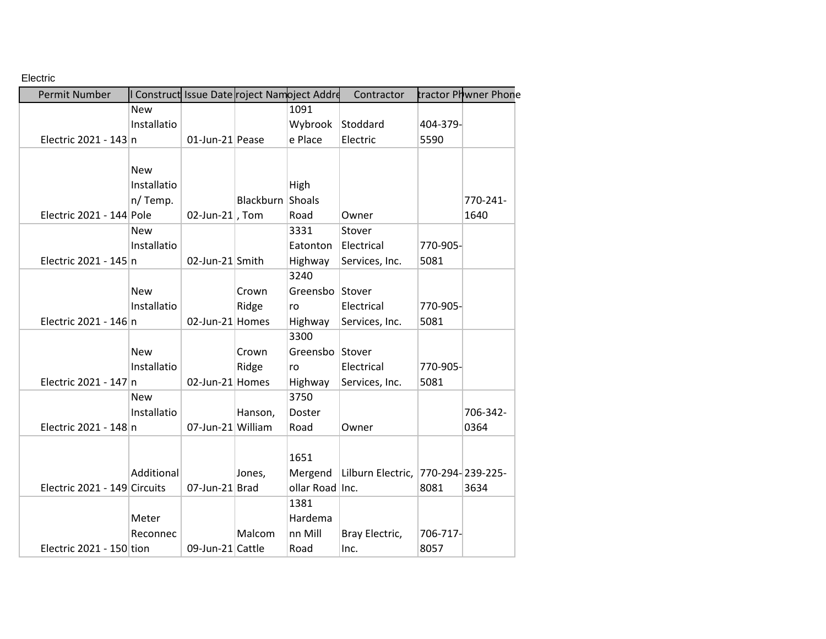### Electric

| <b>Permit Number</b>         |             | I Construct Issue Date roject Namoject Addre |           |                 | Contractor                         |          | tractor Phwner Phone |
|------------------------------|-------------|----------------------------------------------|-----------|-----------------|------------------------------------|----------|----------------------|
|                              | <b>New</b>  |                                              |           | 1091            |                                    |          |                      |
|                              | Installatio |                                              |           | Wybrook         | Stoddard                           | 404-379- |                      |
| Electric 2021 - 143 n        |             | 01-Jun-21 Pease                              |           | e Place         | Electric                           | 5590     |                      |
|                              |             |                                              |           |                 |                                    |          |                      |
|                              | <b>New</b>  |                                              |           |                 |                                    |          |                      |
|                              | Installatio |                                              |           | High            |                                    |          |                      |
|                              | n/Temp.     |                                              | Blackburn | Shoals          |                                    |          | 770-241-             |
| Electric 2021 - 144 Pole     |             | $02$ -Jun-21, Tom                            |           | Road            | Owner                              |          | 1640                 |
|                              | <b>New</b>  |                                              |           | 3331            | Stover                             |          |                      |
|                              | Installatio |                                              |           | Eatonton        | Electrical                         | 770-905- |                      |
| Electric 2021 - 145 n        |             | 02-Jun-21 Smith                              |           | Highway         | Services, Inc.                     | 5081     |                      |
|                              |             |                                              |           | 3240            |                                    |          |                      |
|                              | <b>New</b>  |                                              | Crown     | Greensbo Stover |                                    |          |                      |
|                              | Installatio |                                              | Ridge     | ro              | Electrical                         | 770-905- |                      |
| Electric 2021 - 146 n        |             | 02-Jun-21 Homes                              |           | Highway         | Services, Inc.                     | 5081     |                      |
|                              |             |                                              |           | 3300            |                                    |          |                      |
|                              | <b>New</b>  |                                              | Crown     | Greensbo Stover |                                    |          |                      |
|                              | Installatio |                                              | Ridge     | ro              | Electrical                         | 770-905- |                      |
| Electric 2021 - 147 n        |             | 02-Jun-21 Homes                              |           | Highway         | Services, Inc.                     | 5081     |                      |
|                              | New         |                                              |           | 3750            |                                    |          |                      |
|                              | Installatio |                                              | Hanson,   | Doster          |                                    |          | 706-342-             |
| Electric 2021 - 148 n        |             | 07-Jun-21 William                            |           | Road            | Owner                              |          | 0364                 |
|                              |             |                                              |           |                 |                                    |          |                      |
|                              |             |                                              |           | 1651            |                                    |          |                      |
|                              | Additional  |                                              | Jones,    | Mergend         | Lilburn Electric, 770-294-239-225- |          |                      |
| Electric 2021 - 149 Circuits |             | 07-Jun-21 Brad                               |           | ollar Road Inc. |                                    | 8081     | 3634                 |
|                              |             |                                              |           | 1381            |                                    |          |                      |
|                              | Meter       |                                              |           | Hardema         |                                    |          |                      |
|                              | Reconnec    |                                              | Malcom    | nn Mill         | Bray Electric,                     | 706-717- |                      |
| Electric 2021 - 150 tion     |             | 09-Jun-21 Cattle                             |           | Road            | Inc.                               | 8057     |                      |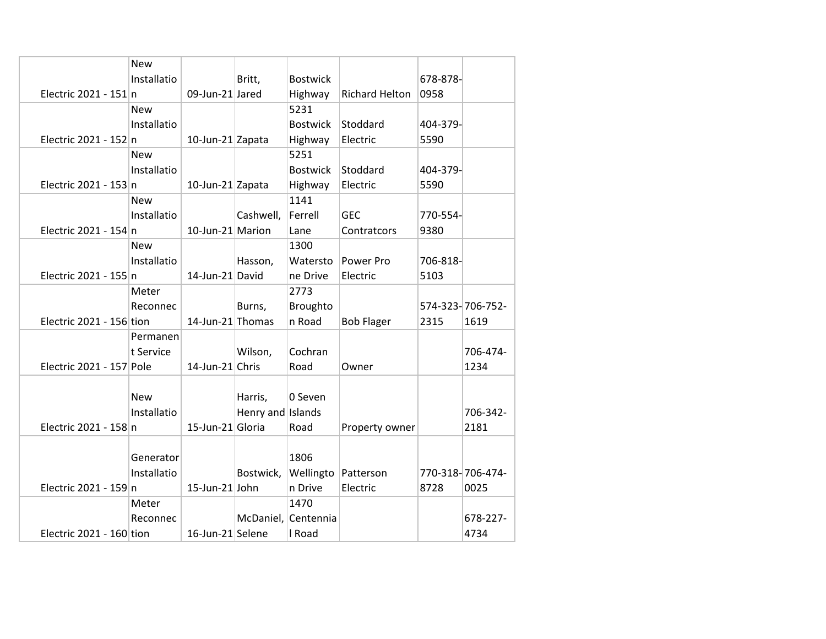|                            | <b>New</b>  |                   |                     |                 |                       |          |                  |
|----------------------------|-------------|-------------------|---------------------|-----------------|-----------------------|----------|------------------|
|                            | Installatio |                   | Britt,              | <b>Bostwick</b> |                       | 678-878- |                  |
| Electric 2021 - 151 n      |             | 09-Jun-21 Jared   |                     | Highway         | <b>Richard Helton</b> | 0958     |                  |
|                            | <b>New</b>  |                   |                     | 5231            |                       |          |                  |
|                            | Installatio |                   |                     | <b>Bostwick</b> | Stoddard              | 404-379- |                  |
| Electric 2021 - 152 n      |             | 10-Jun-21 Zapata  |                     | Highway         | Electric              | 5590     |                  |
|                            | <b>New</b>  |                   |                     | 5251            |                       |          |                  |
|                            | Installatio |                   |                     | <b>Bostwick</b> | Stoddard              | 404-379- |                  |
| Electric 2021 - 153 n      |             | 10-Jun-21 Zapata  |                     | Highway         | Electric              | 5590     |                  |
|                            | <b>New</b>  |                   |                     | 1141            |                       |          |                  |
|                            | Installatio |                   | Cashwell,           | Ferrell         | <b>GEC</b>            | 770-554- |                  |
| Electric 2021 - 154 n      |             | 10-Jun-21 Marion  |                     | Lane            | Contratcors           | 9380     |                  |
|                            | <b>New</b>  |                   |                     | 1300            |                       |          |                  |
|                            | Installatio |                   | Hasson,             | Watersto        | Power Pro             | 706-818- |                  |
| Electric 2021 - 155 n      |             | 14-Jun-21 David   |                     | ne Drive        | Electric              | 5103     |                  |
|                            | Meter       |                   |                     | 2773            |                       |          |                  |
|                            | Reconnec    |                   | Burns,              | Broughto        |                       |          | 574-323-706-752- |
| Electric 2021 - 156 tion   |             | 14-Jun-21 Thomas  |                     | n Road          | <b>Bob Flager</b>     | 2315     | 1619             |
|                            | Permanen    |                   |                     |                 |                       |          |                  |
|                            | t Service   |                   | Wilson,             | Cochran         |                       |          | 706-474-         |
| Electric 2021 - 157 Pole   |             | 14-Jun-21 Chris   |                     | Road            | Owner                 |          | 1234             |
|                            |             |                   |                     |                 |                       |          |                  |
|                            | <b>New</b>  |                   | Harris,             | 0 Seven         |                       |          |                  |
|                            | Installatio |                   | Henry and Islands   |                 |                       |          | 706-342-         |
| Electric 2021 - 158 n      |             | 15-Jun-21 Gloria  |                     | Road            | Property owner        |          | 2181             |
|                            |             |                   |                     |                 |                       |          |                  |
|                            | Generator   |                   |                     | 1806            |                       |          |                  |
|                            | Installatio |                   | Bostwick,           | Wellingto       | Patterson             |          | 770-318-706-474- |
| Electric 2021 - 159 n      |             | $15$ -Jun-21 John |                     | n Drive         | Electric              | 8728     | 0025             |
|                            | Meter       |                   |                     | 1470            |                       |          |                  |
|                            | Reconnec    |                   | McDaniel, Centennia |                 |                       |          | 678-227-         |
| Electric 2021 - $160$ tion |             | 16-Jun-21 Selene  |                     | I Road          |                       |          | 4734             |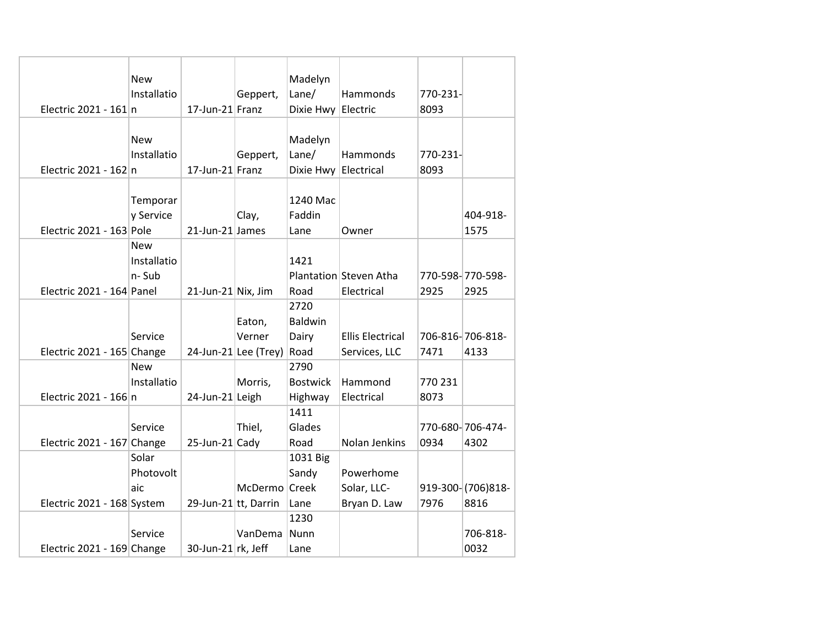|                            | <b>New</b>  |                            |                      | Madelyn            |                         |          |                   |
|----------------------------|-------------|----------------------------|----------------------|--------------------|-------------------------|----------|-------------------|
|                            | Installatio |                            | Geppert,             | Lane/              | Hammonds                | 770-231- |                   |
| Electric 2021 - 161 n      |             | 17-Jun-21 Franz            |                      | Dixie Hwy Electric |                         | 8093     |                   |
|                            |             |                            |                      |                    |                         |          |                   |
|                            | <b>New</b>  |                            |                      | Madelyn            |                         |          |                   |
|                            | Installatio |                            | Geppert,             | Lane/              | Hammonds                | 770-231- |                   |
| Electric 2021 - 162 n      |             | 17-Jun-21 Franz            |                      | Dixie Hwy          | Electrical              | 8093     |                   |
|                            |             |                            |                      |                    |                         |          |                   |
|                            | Temporar    |                            |                      | 1240 Mac           |                         |          |                   |
|                            | y Service   |                            | Clay,                | Faddin             |                         |          | 404-918-          |
| Electric 2021 - 163 Pole   |             | 21-Jun-21 James            |                      | Lane               | Owner                   |          | 1575              |
|                            | <b>New</b>  |                            |                      |                    |                         |          |                   |
|                            | Installatio |                            |                      | 1421               |                         |          |                   |
|                            | n-Sub       |                            |                      |                    | Plantation Steven Atha  |          | 770-598-770-598-  |
| Electric 2021 - 164 Panel  |             | $21$ -Jun-21 Nix, Jim      |                      | Road               | Electrical              | 2925     | 2925              |
|                            |             |                            |                      | 2720               |                         |          |                   |
|                            |             |                            | Eaton,               | Baldwin            |                         |          |                   |
|                            | Service     |                            | Verner               | Dairy              | <b>Ellis Electrical</b> |          | 706-816-706-818-  |
| Electric 2021 - 165 Change |             |                            | 24-Jun-21 Lee (Trey) | Road               | Services, LLC           | 7471     | 4133              |
|                            | <b>New</b>  |                            |                      | 2790               |                         |          |                   |
|                            | Installatio |                            | Morris,              | <b>Bostwick</b>    | Hammond                 | 770 231  |                   |
| Electric 2021 - 166 n      |             | 24-Jun-21 Leigh            |                      | Highway            | Electrical              | 8073     |                   |
|                            |             |                            |                      | 1411               |                         |          |                   |
|                            | Service     |                            | Thiel,               | Glades             |                         |          | 770-680-706-474-  |
| Electric 2021 - 167 Change |             | 25-Jun-21 Cady             |                      | Road               | Nolan Jenkins           | 0934     | 4302              |
|                            | Solar       |                            |                      | 1031 Big           |                         |          |                   |
|                            | Photovolt   |                            |                      | Sandy              | Powerhome               |          |                   |
|                            | aic         |                            | McDermo Creek        |                    | Solar, LLC-             |          | 919-300-(706)818- |
| Electric 2021 - 168 System |             | 29-Jun-21 tt, Darrin       |                      | Lane               | Bryan D. Law            | 7976     | 8816              |
|                            |             |                            |                      | 1230               |                         |          |                   |
|                            | Service     |                            | VanDema              | Nunn               |                         |          | 706-818-          |
| Electric 2021 - 169 Change |             | 30-Jun-21 $\vert$ rk, Jeff |                      | Lane               |                         |          | 0032              |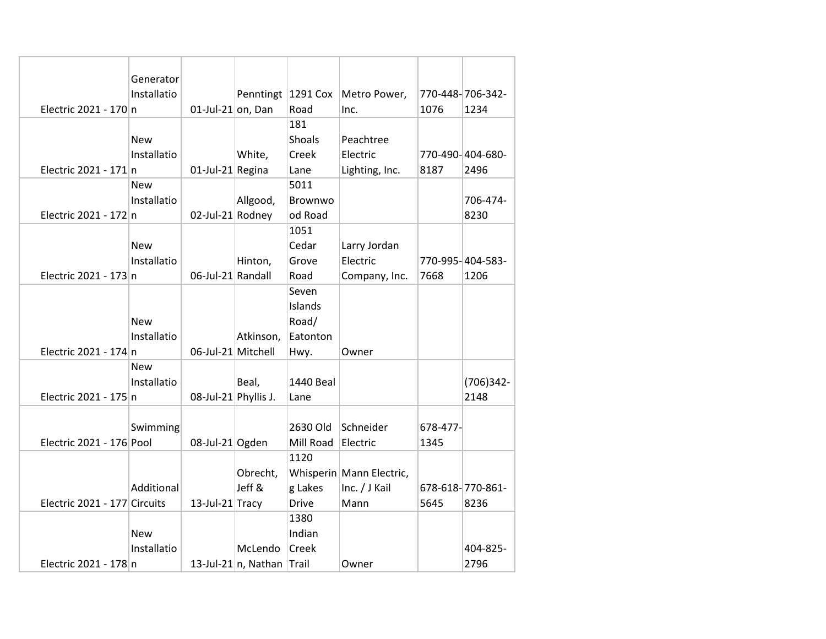|                              | Generator   |                      |                           |                |                          |          |                  |
|------------------------------|-------------|----------------------|---------------------------|----------------|--------------------------|----------|------------------|
|                              | Installatio |                      | Penntingt   1291 Cox      |                | Metro Power,             |          | 770-448-706-342- |
| Electric 2021 - 170 n        |             | 01-Jul-21 on, Dan    |                           | Road           | Inc.                     | 1076     | 1234             |
|                              |             |                      |                           | 181            |                          |          |                  |
|                              | <b>New</b>  |                      |                           | Shoals         | Peachtree                |          |                  |
|                              | Installatio |                      | White,                    | Creek          | Electric                 |          | 770-490-404-680- |
| Electric 2021 - 171 n        |             | 01-Jul-21 Regina     |                           | Lane           | Lighting, Inc.           | 8187     | 2496             |
|                              | <b>New</b>  |                      |                           | 5011           |                          |          |                  |
|                              | Installatio |                      | Allgood,                  | <b>Brownwo</b> |                          |          | 706-474-         |
| Electric 2021 - 172 n        |             | 02-Jul-21 Rodney     |                           | od Road        |                          |          | 8230             |
|                              |             |                      |                           | 1051           |                          |          |                  |
|                              | <b>New</b>  |                      |                           | Cedar          | Larry Jordan             |          |                  |
|                              | Installatio |                      | Hinton,                   | Grove          | Electric                 |          | 770-995-404-583- |
| Electric 2021 - 173 n        |             | 06-Jul-21 Randall    |                           | Road           | Company, Inc.            | 7668     | 1206             |
|                              |             |                      |                           | Seven          |                          |          |                  |
|                              |             |                      |                           | Islands        |                          |          |                  |
|                              | <b>New</b>  |                      |                           | Road/          |                          |          |                  |
|                              | Installatio |                      | Atkinson,                 | Eatonton       |                          |          |                  |
| Electric 2021 - 174 n        |             | 06-Jul-21 Mitchell   |                           | Hwy.           | Owner                    |          |                  |
|                              | <b>New</b>  |                      |                           |                |                          |          |                  |
|                              | Installatio |                      | Beal,                     | 1440 Beal      |                          |          | $(706)342 -$     |
| Electric 2021 - 175 n        |             | 08-Jul-21 Phyllis J. |                           | Lane           |                          |          | 2148             |
|                              |             |                      |                           |                |                          |          |                  |
|                              | Swimming    |                      |                           | 2630 Old       | Schneider                | 678-477- |                  |
| Electric 2021 - 176 Pool     |             | 08-Jul-21 Ogden      |                           | Mill Road      | Electric                 | 1345     |                  |
|                              |             |                      |                           | 1120           |                          |          |                  |
|                              |             |                      | Obrecht,                  |                | Whisperin Mann Electric, |          |                  |
|                              | Additional  |                      | Jeff &                    | g Lakes        | Inc. / J Kail            |          | 678-618-770-861- |
| Electric 2021 - 177 Circuits |             | 13-Jul-21 Tracy      |                           | Drive          | Mann                     | 5645     | 8236             |
|                              |             |                      |                           | 1380           |                          |          |                  |
|                              | <b>New</b>  |                      |                           | Indian         |                          |          |                  |
|                              | Installatio |                      | McLendo                   | Creek          |                          |          | 404-825-         |
| Electric 2021 - 178 n        |             |                      | 13-Jul-21 n, Nathan Trail |                | Owner                    |          | 2796             |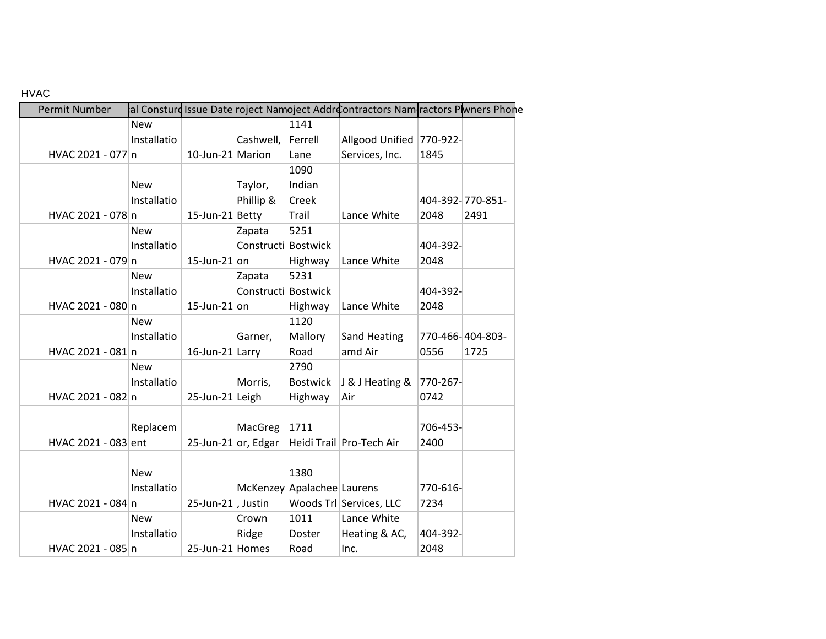# HVAC

| Permit Number       |             |                      |                     |                            | al Consturd Issue Date roject Namoject Addreontractors Nam ractors Plwners Phone |          |                  |
|---------------------|-------------|----------------------|---------------------|----------------------------|----------------------------------------------------------------------------------|----------|------------------|
|                     | <b>New</b>  |                      |                     | 1141                       |                                                                                  |          |                  |
|                     | Installatio |                      | Cashwell,           | Ferrell                    | Allgood Unified 770-922-                                                         |          |                  |
| HVAC 2021 - 077 n   |             | 10-Jun-21 Marion     |                     | Lane                       | Services, Inc.                                                                   | 1845     |                  |
|                     |             |                      |                     | 1090                       |                                                                                  |          |                  |
|                     | <b>New</b>  |                      | Taylor,             | Indian                     |                                                                                  |          |                  |
|                     | Installatio |                      | Phillip &           | Creek                      |                                                                                  |          | 404-392-770-851- |
| HVAC 2021 - 078 n   |             | 15-Jun-21 Betty      |                     | Trail                      | Lance White                                                                      | 2048     | 2491             |
|                     | <b>New</b>  |                      | Zapata              | 5251                       |                                                                                  |          |                  |
|                     | Installatio |                      | Constructi Bostwick |                            |                                                                                  | 404-392- |                  |
| HVAC 2021 - 079 n   |             | $15$ -Jun-21 on      |                     | Highway                    | Lance White                                                                      | 2048     |                  |
|                     | <b>New</b>  |                      | Zapata              | 5231                       |                                                                                  |          |                  |
|                     | Installatio |                      | Constructi Bostwick |                            |                                                                                  | 404-392- |                  |
| HVAC 2021 - 080 n   |             | $15$ -Jun-21 on      |                     | Highway                    | Lance White                                                                      | 2048     |                  |
|                     | <b>New</b>  |                      |                     | 1120                       |                                                                                  |          |                  |
|                     | Installatio |                      | Garner,             | Mallory                    | Sand Heating                                                                     |          | 770-466-404-803- |
| HVAC 2021 - 081 n   |             | 16-Jun-21 Larry      |                     | Road                       | amd Air                                                                          | 0556     | 1725             |
|                     | <b>New</b>  |                      |                     | 2790                       |                                                                                  |          |                  |
|                     | Installatio |                      | Morris,             | <b>Bostwick</b>            | J & J Heating &                                                                  | 770-267- |                  |
| HVAC 2021 - 082 n   |             | 25-Jun-21 Leigh      |                     | Highway                    | Air                                                                              | 0742     |                  |
|                     |             |                      |                     |                            |                                                                                  |          |                  |
|                     | Replacem    |                      | MacGreg             | 1711                       |                                                                                  | 706-453- |                  |
| HVAC 2021 - 083 ent |             | 25-Jun-21 or, Edgar  |                     |                            | Heidi Trail Pro-Tech Air                                                         | 2400     |                  |
|                     |             |                      |                     |                            |                                                                                  |          |                  |
|                     | <b>New</b>  |                      |                     | 1380                       |                                                                                  |          |                  |
|                     | Installatio |                      |                     | McKenzey Apalachee Laurens |                                                                                  | 770-616- |                  |
| HVAC 2021 - 084 n   |             | $25$ -Jun-21, Justin |                     |                            | Woods Trl Services, LLC                                                          | 7234     |                  |
|                     | <b>New</b>  |                      | Crown               | 1011                       | Lance White                                                                      |          |                  |
|                     | Installatio |                      | Ridge               | Doster                     | Heating & AC,                                                                    | 404-392- |                  |
| HVAC 2021 - 085 n   |             | 25-Jun-21 Homes      |                     | Road                       | Inc.                                                                             | 2048     |                  |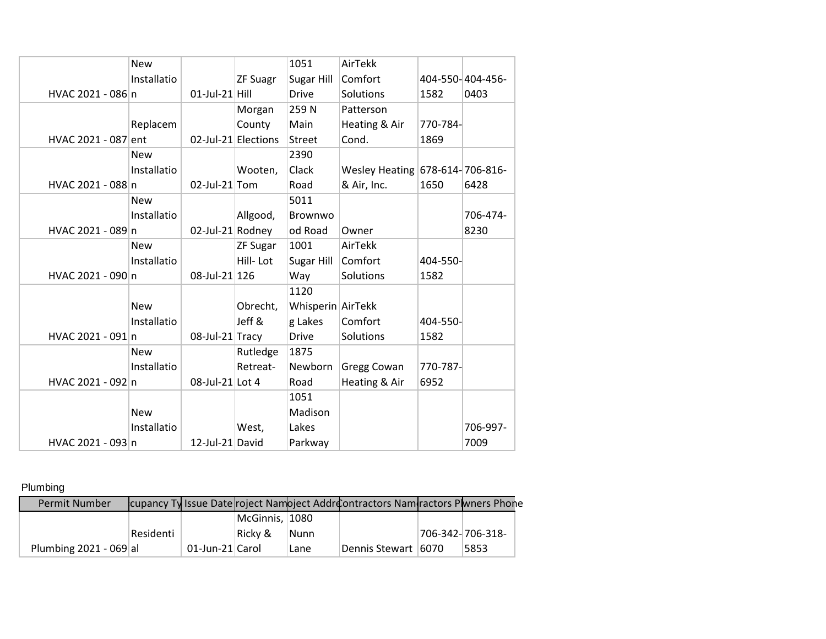|                     | <b>New</b>  |                  |                     | 1051              | AirTekk                         |          |                  |
|---------------------|-------------|------------------|---------------------|-------------------|---------------------------------|----------|------------------|
|                     | Installatio |                  | <b>ZF Suagr</b>     | Sugar Hill        | Comfort                         |          | 404-550-404-456- |
| HVAC 2021 - 086 n   |             | 01-Jul-21 Hill   |                     | <b>Drive</b>      | <b>Solutions</b>                | 1582     | 0403             |
|                     |             |                  | Morgan              | 259 N             | Patterson                       |          |                  |
|                     | Replacem    |                  | County              | Main              | Heating & Air                   | 770-784- |                  |
| HVAC 2021 - 087 ent |             |                  | 02-Jul-21 Elections | <b>Street</b>     | Cond.                           | 1869     |                  |
|                     | <b>New</b>  |                  |                     | 2390              |                                 |          |                  |
|                     | Installatio |                  | Wooten,             | Clack             | Wesley Heating 678-614-706-816- |          |                  |
| HVAC 2021 - 088 n   |             | $02$ -Jul-21 Tom |                     | Road              | & Air, Inc.                     | 1650     | 6428             |
|                     | <b>New</b>  |                  |                     | 5011              |                                 |          |                  |
|                     | Installatio |                  | Allgood,            | Brownwo           |                                 |          | 706-474-         |
| HVAC 2021 - 089 n   |             | 02-Jul-21 Rodney |                     | od Road           | Owner                           |          | 8230             |
|                     | <b>New</b>  |                  | <b>ZF Sugar</b>     | 1001              | AirTekk                         |          |                  |
|                     | Installatio |                  | Hill-Lot            | Sugar Hill        | Comfort                         | 404-550- |                  |
| HVAC 2021 - 090 n   |             | 08-Jul-21 126    |                     | Way               | Solutions                       | 1582     |                  |
|                     |             |                  |                     | 1120              |                                 |          |                  |
|                     | <b>New</b>  |                  | Obrecht,            | Whisperin AirTekk |                                 |          |                  |
|                     | Installatio |                  | Jeff &              | g Lakes           | Comfort                         | 404-550- |                  |
| HVAC 2021 - 091 n   |             | 08-Jul-21 Tracy  |                     | <b>Drive</b>      | Solutions                       | 1582     |                  |
|                     | <b>New</b>  |                  | Rutledge            | 1875              |                                 |          |                  |
|                     | Installatio |                  | Retreat-            | Newborn           | <b>Gregg Cowan</b>              | 770-787- |                  |
| HVAC 2021 - 092 n   |             | 08-Jul-21 Lot 4  |                     | Road              | Heating & Air                   | 6952     |                  |
|                     |             |                  |                     | 1051              |                                 |          |                  |
|                     | <b>New</b>  |                  |                     | Madison           |                                 |          |                  |
|                     | Installatio |                  | West,               | Lakes             |                                 |          | 706-997-         |
| HVAC 2021 - 093 n   |             | 12-Jul-21 David  |                     | Parkway           |                                 |          | 7009             |

# Plumbing

| <b>Permit Number</b>     |           |                 |                 |      | cupancy Ty Issue Date roject Nampject Addreontractors Nam ractors P wners Phone |                  |
|--------------------------|-----------|-----------------|-----------------|------|---------------------------------------------------------------------------------|------------------|
|                          |           |                 | McGinnis,  1080 |      |                                                                                 |                  |
|                          | Residenti |                 | Rickv &         | Nunn |                                                                                 | 706-342-706-318- |
| Plumbing $2021 - 069$ al |           | 01-Jun-21 Carol |                 | Lane | Dennis Stewart 16070                                                            | 5853             |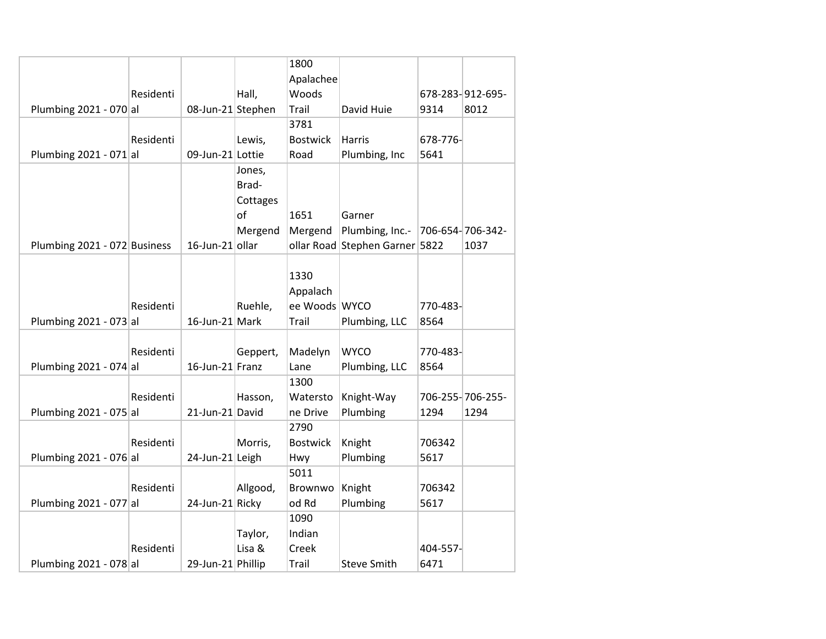|                              |           |                   |          | 1800            |                                  |          |                  |
|------------------------------|-----------|-------------------|----------|-----------------|----------------------------------|----------|------------------|
|                              |           |                   |          | Apalachee       |                                  |          |                  |
|                              | Residenti |                   | Hall,    | Woods           |                                  |          | 678-283-912-695- |
| Plumbing $2021 - 070$ al     |           | 08-Jun-21 Stephen |          | Trail           | David Huie                       | 9314     | 8012             |
|                              |           |                   |          | 3781            |                                  |          |                  |
|                              | Residenti |                   | Lewis,   | <b>Bostwick</b> | Harris                           | 678-776- |                  |
| Plumbing 2021 - 071 al       |           | 09-Jun-21 Lottie  |          | Road            | Plumbing, Inc                    | 5641     |                  |
|                              |           |                   | Jones,   |                 |                                  |          |                  |
|                              |           |                   | Brad-    |                 |                                  |          |                  |
|                              |           |                   | Cottages |                 |                                  |          |                  |
|                              |           |                   | of       | 1651            | Garner                           |          |                  |
|                              |           |                   | Mergend  | Mergend         | Plumbing, Inc.- 706-654-706-342- |          |                  |
| Plumbing 2021 - 072 Business |           | 16-Jun-21 ollar   |          |                 | ollar Road Stephen Garner 5822   |          | 1037             |
|                              |           |                   |          |                 |                                  |          |                  |
|                              |           |                   |          | 1330            |                                  |          |                  |
|                              |           |                   |          | Appalach        |                                  |          |                  |
|                              | Residenti |                   | Ruehle,  | ee Woods WYCO   |                                  | 770-483- |                  |
| Plumbing 2021 - 073 al       |           | 16-Jun-21 Mark    |          | Trail           | Plumbing, LLC                    | 8564     |                  |
|                              |           |                   |          |                 |                                  |          |                  |
|                              | Residenti |                   | Geppert, | Madelyn         | <b>WYCO</b>                      | 770-483- |                  |
| Plumbing 2021 - 074 al       |           | 16-Jun-21 Franz   |          | Lane            | Plumbing, LLC                    | 8564     |                  |
|                              |           |                   |          | 1300            |                                  |          |                  |
|                              | Residenti |                   | Hasson,  | Watersto        | Knight-Way                       |          | 706-255-706-255- |
| Plumbing 2021 - 075 al       |           | 21-Jun-21 David   |          | ne Drive        | Plumbing                         | 1294     | 1294             |
|                              |           |                   |          | 2790            |                                  |          |                  |
|                              | Residenti |                   | Morris,  | <b>Bostwick</b> | Knight                           | 706342   |                  |
| Plumbing 2021 - 076 al       |           | 24-Jun-21 Leigh   |          | Hwy             | Plumbing                         | 5617     |                  |
|                              |           |                   |          | 5011            |                                  |          |                  |
|                              | Residenti |                   | Allgood, | Brownwo         | Knight                           | 706342   |                  |
| Plumbing 2021 - 077 al       |           | 24-Jun-21 Ricky   |          | od Rd           | Plumbing                         | 5617     |                  |
|                              |           |                   |          | 1090            |                                  |          |                  |
|                              |           |                   | Taylor,  | Indian          |                                  |          |                  |
|                              | Residenti |                   | Lisa &   | Creek           |                                  | 404-557- |                  |
| Plumbing 2021 - 078 al       |           | 29-Jun-21 Phillip |          | Trail           | <b>Steve Smith</b>               | 6471     |                  |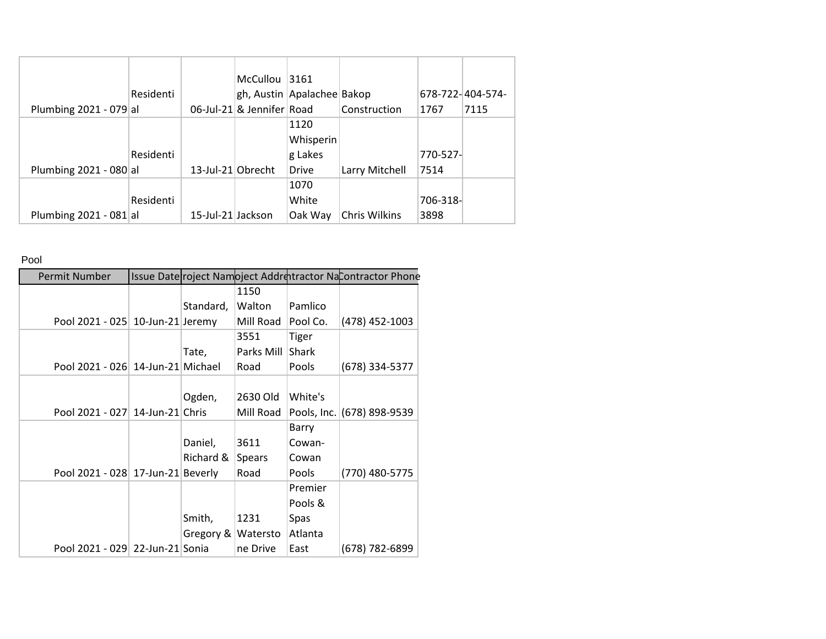|                          |           |                   | McCullou                  | 3161                       |                |          |                  |
|--------------------------|-----------|-------------------|---------------------------|----------------------------|----------------|----------|------------------|
|                          | Residenti |                   |                           | gh, Austin Apalachee Bakop |                |          | 678-722-404-574- |
| Plumbing 2021 - 079 al   |           |                   | 06-Jul-21 & Jennifer Road |                            | Construction   | 1767     | 7115             |
|                          |           |                   |                           | 1120                       |                |          |                  |
|                          |           |                   |                           | Whisperin                  |                |          |                  |
|                          | Residenti |                   |                           | g Lakes                    |                | 770-527- |                  |
| Plumbing 2021 - 080 al   |           | 13-Jul-21 Obrecht |                           | <b>Drive</b>               | Larry Mitchell | 7514     |                  |
|                          |           |                   |                           | 1070                       |                |          |                  |
|                          | Residenti |                   |                           | White                      |                | 706-318- |                  |
| Plumbing $2021 - 081$ al |           | 15-Jul-21 Jackson |                           | Oak Way                    | Chris Wilkins  | 3898     |                  |

#### Pool

| Permit Number                     |                    |            |              | Issue Date roject Nampject Addreitractor Nacontractor Phone |
|-----------------------------------|--------------------|------------|--------------|-------------------------------------------------------------|
|                                   |                    | 1150       |              |                                                             |
|                                   | Standard,          | Walton     | Pamlico      |                                                             |
| Pool 2021 - 025 10-Jun-21 Jeremy  |                    | Mill Road  | Pool Co.     | (478) 452-1003                                              |
|                                   |                    | 3551       | <b>Tiger</b> |                                                             |
|                                   | Tate,              | Parks Mill | Shark        |                                                             |
| Pool 2021 - 026 14-Jun-21 Michael |                    | Road       | Pools        | (678) 334-5377                                              |
|                                   |                    |            |              |                                                             |
|                                   | Ogden,             | 2630 Old   | White's      |                                                             |
| Pool 2021 - 027 14-Jun-21 Chris   |                    | Mill Road  |              | Pools, Inc. (678) 898-9539                                  |
|                                   |                    |            | Barry        |                                                             |
|                                   | Daniel,            | 3611       | Cowan-       |                                                             |
|                                   | Richard &          | Spears     | Cowan        |                                                             |
| Pool 2021 - 028 17-Jun-21 Beverly |                    | Road       | Pools        | (770) 480-5775                                              |
|                                   |                    |            | Premier      |                                                             |
|                                   |                    |            | Pools &      |                                                             |
|                                   | Smith,             | 1231       | Spas         |                                                             |
|                                   | Gregory & Watersto |            | Atlanta      |                                                             |
| Pool 2021 - 029 22-Jun-21 Sonia   |                    | ne Drive   | East         | (678) 782-6899                                              |